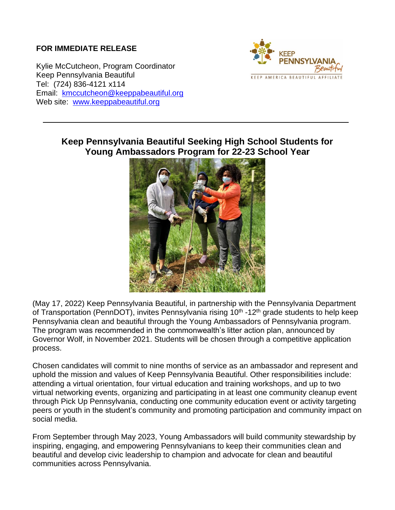## **FOR IMMEDIATE RELEASE**

Kylie McCutcheon, Program Coordinator Keep Pennsylvania Beautiful Tel: (724) 836-4121 x114 Email: [kmccutcheon@keeppabeautiful.org](mailto:kmccutcheon@keeppabeautiful.org) Web site: [www.keeppabeautiful.org](http://www.keeppabeautiful.org/)



## **Keep Pennsylvania Beautiful Seeking High School Students for Young Ambassadors Program for 22-23 School Year**



(May 17, 2022) Keep Pennsylvania Beautiful, in partnership with the Pennsylvania Department of Transportation (PennDOT), invites Pennsylvania rising 10<sup>th</sup> -12<sup>th</sup> grade students to help keep Pennsylvania clean and beautiful through the Young Ambassadors of Pennsylvania program. The program was recommended in the commonwealth's litter action plan, announced by Governor Wolf, in November 2021. Students will be chosen through a competitive application process.

Chosen candidates will commit to nine months of service as an ambassador and represent and uphold the mission and values of Keep Pennsylvania Beautiful. Other responsibilities include: attending a virtual orientation, four virtual education and training workshops, and up to two virtual networking events, organizing and participating in at least one community cleanup event through Pick Up Pennsylvania, conducting one community education event or activity targeting peers or youth in the student's community and promoting participation and community impact on social media.

From September through May 2023, Young Ambassadors will build community stewardship by inspiring, engaging, and empowering Pennsylvanians to keep their communities clean and beautiful and develop civic leadership to champion and advocate for clean and beautiful communities across Pennsylvania.